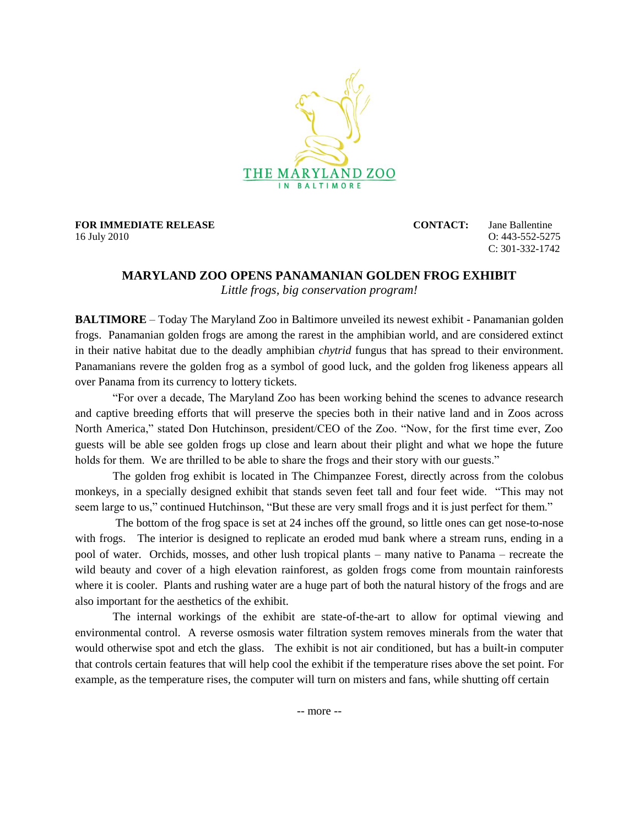

**FOR IMMEDIATE RELEASE CONTACT:** Jane Ballentine 16 July 2010 O: 443-552-5275

C: 301-332-1742

## **MARYLAND ZOO OPENS PANAMANIAN GOLDEN FROG EXHIBIT**

*Little frogs, big conservation program!*

**BALTIMORE** – Today The Maryland Zoo in Baltimore unveiled its newest exhibit - Panamanian golden frogs. Panamanian golden frogs are among the rarest in the amphibian world, and are considered extinct in their native habitat due to the deadly amphibian *chytrid* fungus that has spread to their environment. Panamanians revere the golden frog as a symbol of good luck, and the golden frog likeness appears all over Panama from its currency to lottery tickets.

"For over a decade, The Maryland Zoo has been working behind the scenes to advance research and captive breeding efforts that will preserve the species both in their native land and in Zoos across North America," stated Don Hutchinson, president/CEO of the Zoo. "Now, for the first time ever, Zoo guests will be able see golden frogs up close and learn about their plight and what we hope the future holds for them. We are thrilled to be able to share the frogs and their story with our guests."

The golden frog exhibit is located in The Chimpanzee Forest, directly across from the colobus monkeys, in a specially designed exhibit that stands seven feet tall and four feet wide. "This may not seem large to us," continued Hutchinson, "But these are very small frogs and it is just perfect for them."

The bottom of the frog space is set at 24 inches off the ground, so little ones can get nose-to-nose with frogs. The interior is designed to replicate an eroded mud bank where a stream runs, ending in a pool of water. Orchids, mosses, and other lush tropical plants – many native to Panama – recreate the wild beauty and cover of a high elevation rainforest, as golden frogs come from mountain rainforests where it is cooler. Plants and rushing water are a huge part of both the natural history of the frogs and are also important for the aesthetics of the exhibit.

The internal workings of the exhibit are state-of-the-art to allow for optimal viewing and environmental control. A reverse osmosis water filtration system removes minerals from the water that would otherwise spot and etch the glass. The exhibit is not air conditioned, but has a built-in computer that controls certain features that will help cool the exhibit if the temperature rises above the set point. For example, as the temperature rises, the computer will turn on misters and fans, while shutting off certain

-- more --